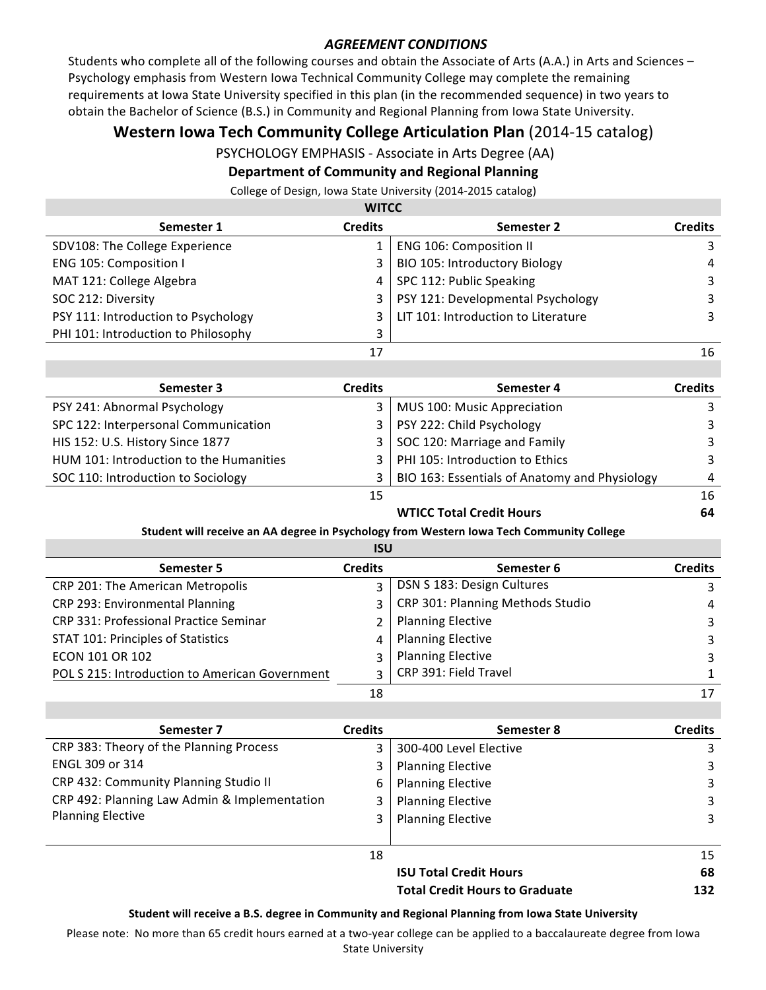## **AGREEMENT CONDITIONS**

Students who complete all of the following courses and obtain the Associate of Arts (A.A.) in Arts and Sciences – Psychology emphasis from Western Iowa Technical Community College may complete the remaining requirements at lowa State University specified in this plan (in the recommended sequence) in two years to obtain the Bachelor of Science (B.S.) in Community and Regional Planning from Iowa State University.

# **Western Iowa Tech Community College Articulation Plan** (2014-15 catalog)

PSYCHOLOGY EMPHASIS - Associate in Arts Degree (AA)

## **Department of Community and Regional Planning**

College of Design, Iowa State University (2014-2015 catalog)

# **WITCC**

| <b>VVIILL</b>                       |                |                                     |                |  |
|-------------------------------------|----------------|-------------------------------------|----------------|--|
| Semester 1                          | <b>Credits</b> | Semester 2                          | <b>Credits</b> |  |
| SDV108: The College Experience      |                | <b>ENG 106: Composition II</b>      |                |  |
| ENG 105: Composition I              | 3              | BIO 105: Introductory Biology       | 4              |  |
| MAT 121: College Algebra            | 4              | SPC 112: Public Speaking            |                |  |
| SOC 212: Diversity                  | $\overline{3}$ | PSY 121: Developmental Psychology   |                |  |
| PSY 111: Introduction to Psychology |                | LIT 101: Introduction to Literature |                |  |
| PHI 101: Introduction to Philosophy |                |                                     |                |  |
|                                     | 17             |                                     | 16             |  |

| Semester 3                              | <b>Credits</b> | Semester 4                                    | <b>Credits</b> |
|-----------------------------------------|----------------|-----------------------------------------------|----------------|
| PSY 241: Abnormal Psychology            |                | MUS 100: Music Appreciation                   |                |
| SPC 122: Interpersonal Communication    | 3              | PSY 222: Child Psychology                     |                |
| HIS 152: U.S. History Since 1877        | 3 I            | SOC 120: Marriage and Family                  |                |
| HUM 101: Introduction to the Humanities |                | PHI 105: Introduction to Ethics               |                |
| SOC 110: Introduction to Sociology      |                | BIO 163: Essentials of Anatomy and Physiology | 4              |
|                                         | 15             |                                               | 16             |

#### **WTICC Total Credit Hours** 64

### **Student will receive an AA degree in Psychology from Western lowa Tech Community College**

| ۰.<br>٠ |
|---------|
|---------|

| Semester 5                                     | <b>Credits</b> | Semester 6                       | <b>Credits</b> |
|------------------------------------------------|----------------|----------------------------------|----------------|
| CRP 201: The American Metropolis               |                | DSN S 183: Design Cultures       |                |
| CRP 293: Environmental Planning                |                | CRP 301: Planning Methods Studio | 4              |
| CRP 331: Professional Practice Seminar         | 2              | <b>Planning Elective</b>         |                |
| STAT 101: Principles of Statistics             | 4              | <b>Planning Elective</b>         |                |
| ECON 101 OR 102                                | $\mathbf{R}$   | <b>Planning Elective</b>         | 3              |
| POL S 215: Introduction to American Government | $\mathbf{R}$   | CRP 391: Field Travel            |                |
|                                                | 18             |                                  | 17             |

| Semester 7                                   | <b>Credits</b> | Semester 8                            | <b>Credits</b> |
|----------------------------------------------|----------------|---------------------------------------|----------------|
| CRP 383: Theory of the Planning Process      |                | 300-400 Level Elective                | 3              |
| <b>ENGL 309 or 314</b>                       |                | <b>Planning Elective</b>              | 3              |
| CRP 432: Community Planning Studio II        | 6              | <b>Planning Elective</b>              | 3              |
| CRP 492: Planning Law Admin & Implementation |                | <b>Planning Elective</b>              | 3              |
| <b>Planning Elective</b>                     |                | <b>Planning Elective</b>              | 3              |
|                                              | 18             |                                       | 15             |
|                                              |                | <b>ISU Total Credit Hours</b>         | 68             |
|                                              |                | <b>Total Credit Hours to Graduate</b> | 132            |

#### Student will receive a B.S. degree in Community and Regional Planning from lowa State University

Please note: No more than 65 credit hours earned at a two-year college can be applied to a baccalaureate degree from Iowa **State University**